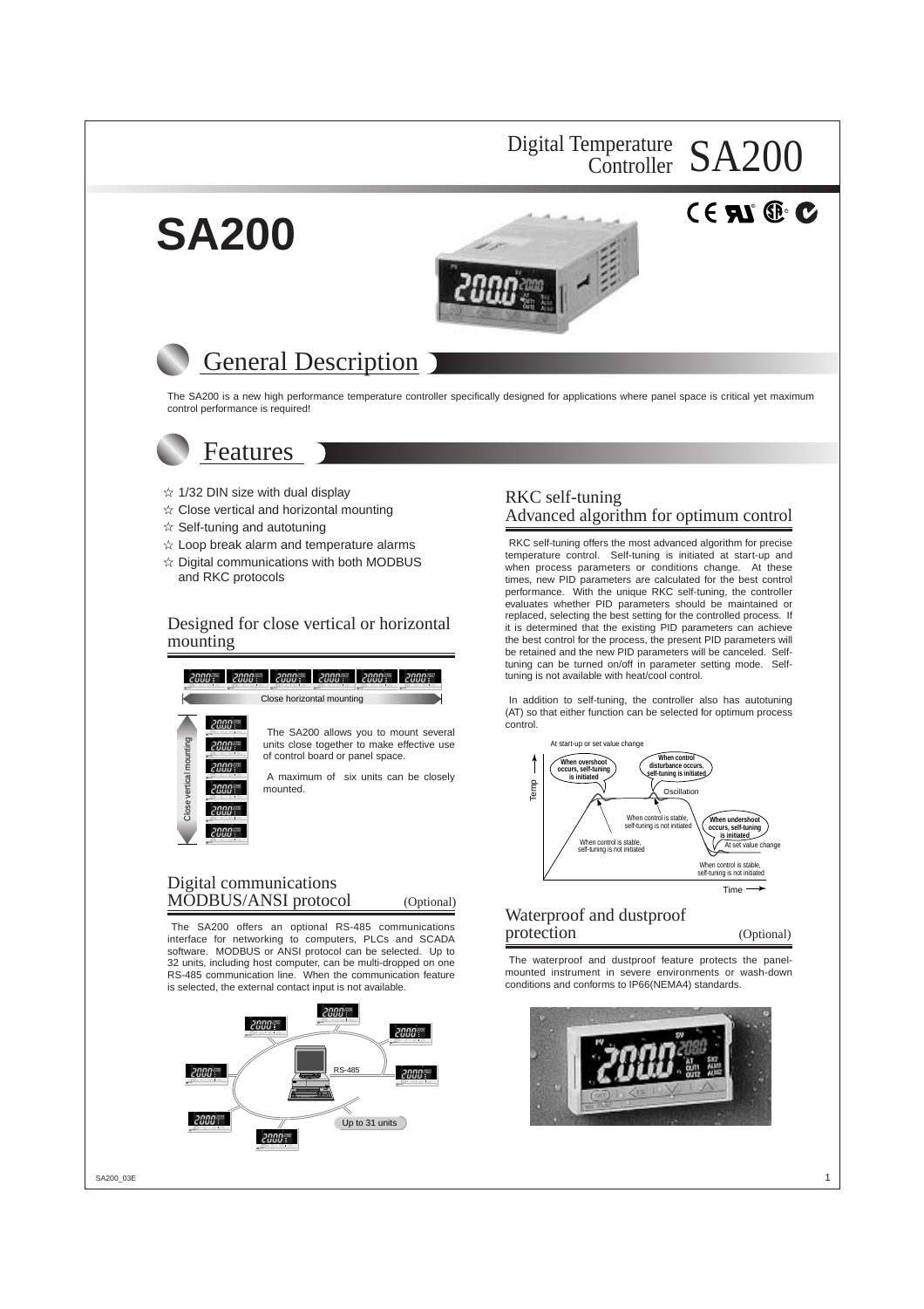## Digital Temperature SA200 Controller

 $^{\circ}$  RD.





# General Description

The SA200 is a new high performance temperature controller specifically designed for applications where panel space is critical yet maximum control performance is required!

## Features

**SA200**

- $\hat{x}$  1/32 DIN size with dual display
- $\dot{\varphi}$  Close vertical and horizontal mounting
- $\hat{x}$  Self-tuning and autotuning
- $\hat{x}$  Loop break alarm and temperature alarms
- $\hat{x}$  Digital communications with both MODBUS and RKC protocols

### Designed for close vertical or horizontal mounting



### Digital communications MODBUS/ANSI protocol (Optional)

The SA200 offers an optional RS-485 communications interface for networking to computers, PLCs and SCADA software. MODBUS or ANSI protocol can be selected. Up to 32 units, including host computer, can be multi-dropped on one RS-485 communication line. When the communication feature is selected, the external contact input is not available.



### RKC self-tuning Advanced algorithm for optimum control

RKC self-tuning offers the most advanced algorithm for precise temperature control. Self-tuning is initiated at start-up and when process parameters or conditions change. At these times, new PID parameters are calculated for the best control performance. With the unique RKC self-tuning, the controller evaluates whether PID parameters should be maintained or replaced, selecting the best setting for the controlled process. If it is determined that the existing PID parameters can achieve the best control for the process, the present PID parameters will be retained and the new PID parameters will be canceled. Selftuning can be turned on/off in parameter setting mode. Selftuning is not available with heat/cool control.

In addition to self-tuning, the controller also has autotuning (AT) so that either function can be selected for optimum process



### Waterproof and dustproof protection (Optional)

The waterproof and dustproof feature protects the panelmounted instrument in severe environments or wash-down conditions and conforms to IP66(NEMA4) standards.

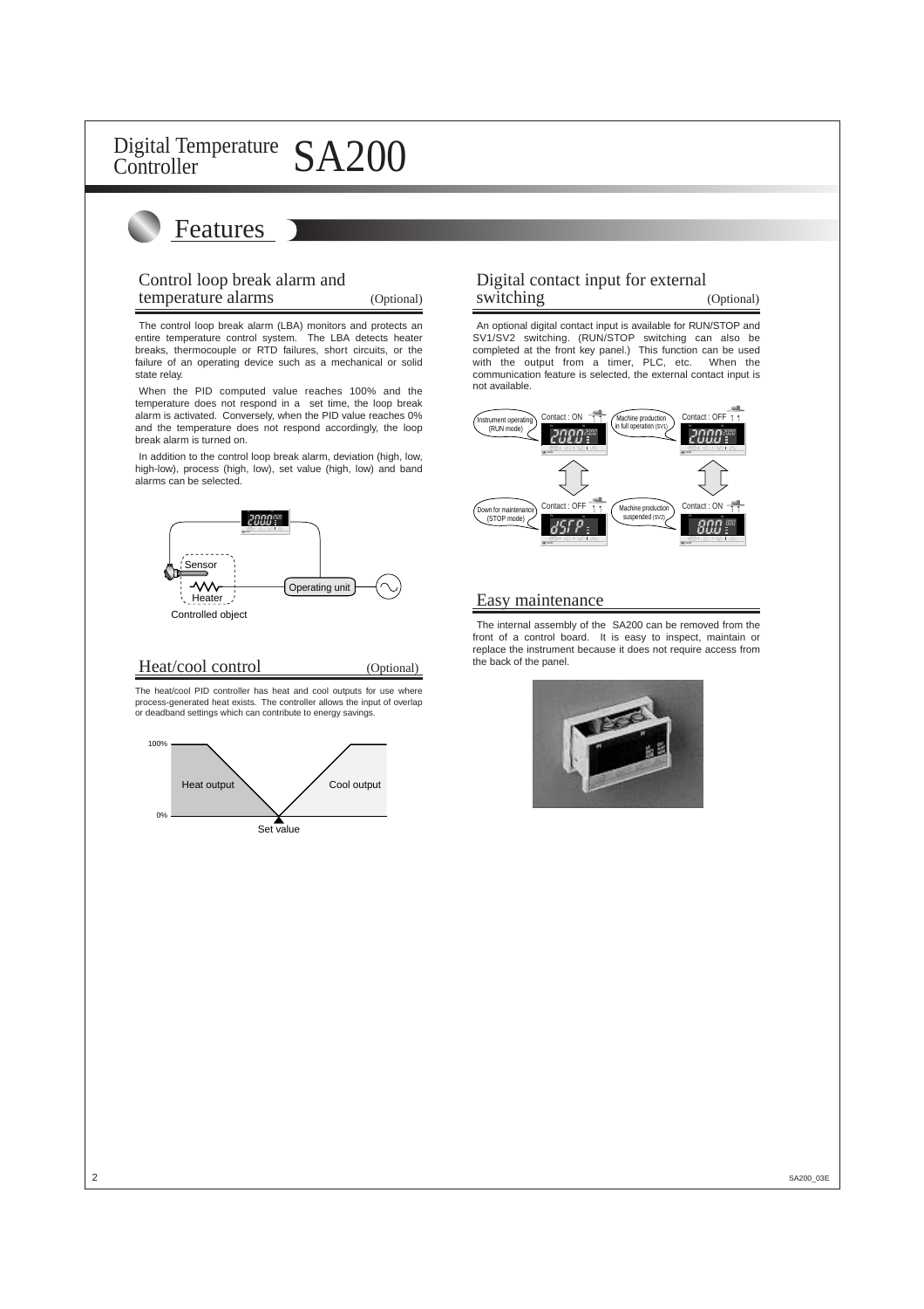# Features

### Control loop break alarm and temperature alarms (Optional)

The control loop break alarm (LBA) monitors and protects an entire temperature control system. The LBA detects heater breaks, thermocouple or RTD failures, short circuits, or the failure of an operating device such as a mechanical or solid state relay.

When the PID computed value reaches 100% and the temperature does not respond in a set time, the loop break alarm is activated. Conversely, when the PID value reaches 0% and the temperature does not respond accordingly, the loop break alarm is turned on.

In addition to the control loop break alarm, deviation (high, low, high-low), process (high, low), set value (high, low) and band alarms can be selected.



### Heat/cool control (Optional)

The heat/cool PID controller has heat and cool outputs for use where process-generated heat exists. The controller allows the input of overlap or deadband settings which can contribute to energy savings.



## Digital contact input for external switching (Optional)

An optional digital contact input is available for RUN/STOP and SV1/SV2 switching. (RUN/STOP switching can also be completed at the front key panel.) This function can be used with the output from a timer, PLC, etc. When the communication feature is selected, the external contact input is not available.



### Easy maintenance

The internal assembly of the SA200 can be removed from the front of a control board. It is easy to inspect, maintain or replace the instrument because it does not require access from the back of the panel.

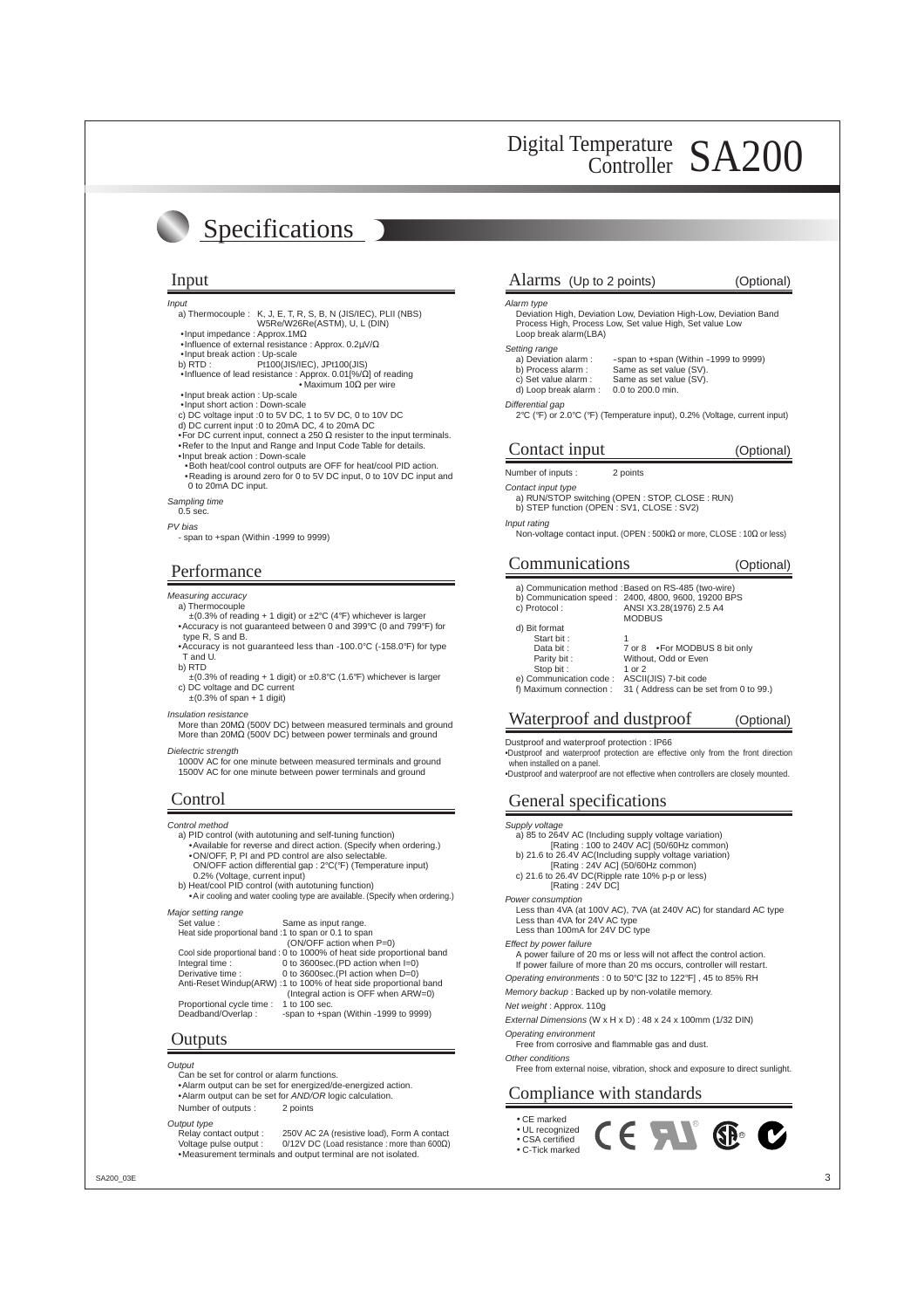# Specifications

- Input
	- a) Thermocouple : K, J, E, T, R, S, B, N (JIS/IEC), PLII (NBS) W5Re/W26Re(ASTM), U, L (DIN)
	- •Input impedance : Approx.1MΩ
	- •Influence of external resistance : Approx. 0.2µV/Ω
	- •Input break action : Up-scale<br>b) RTD : Pt100(JIS
	- Pt100(JIS/IEC), JPt100(JIS) •Influence of lead resistance : Approx. 0.01[%/Ω] of reading
	- Maximum 10 $\Omega$  per wire •Input break action : Up-scale
	- •Input short action : Down-scale
	- c) DC voltage input :0 to 5V DC, 1 to 5V DC, 0 to 10V DC
	- d) DC current input :0 to 20mA DC, 4 to 20mA DC
	- •For DC current input, connect a 250 Ω resister to the input terminals. •Refer to the Input and Range and Input Code Table for details.
	- •Input break action : Down-scale
	- •Both heat/cool control outputs are OFF for heat/cool PID action. •Reading is around zero for 0 to 5V DC input, 0 to 10V DC input and 0 to 20mA DC input.

Sampling time

0.5 sec.

PV bias

- span to +span (Within -1999 to 9999)

### Performance

#### Measuring accuracy

- a) Thermocouple
- $\pm$ (0.3% of reading + 1 digit) or  $\pm$ 2°C (4°F) whichever is larger •Accuracy is not guaranteed between 0 and 399°C (0 and 799°F) for type R, S and B.
- •Accuracy is not guaranteed less than -100.0°C (-158.0°F) for type T and U.
- b) RTD
- ±(0.3% of reading + 1 digit) or ±0.8°C (1.6°F) whichever is larger c) DC voltage and DC current
- ±(0.3% of span + 1 digit)
- Insulation resistance

More than 20MΩ (500V DC) between measured terminals and ground More than 20MΩ (500V DC) between power terminals and ground

Dielectric strenath

1000V AC for one minute between measured terminals and ground 1500V AC for one minute between power terminals and ground

Control method

- a) PID control (with autotuning and self-tuning function) •Available for reverse and direct action. (Specify when ordering.)
- •ON/OFF, P, PI and PD control are also selectable. ON/OFF action differential gap : 2°C(°F) (Temperature input)
- 0.2% (Voltage, current input) b) Heat/cool PID control (with autotuning function)
- •Air cooling and water cooling type are available. (Specify when ordering.)

| Major setting range                                   |                                                                        |
|-------------------------------------------------------|------------------------------------------------------------------------|
| Set value:                                            | Same as input range.                                                   |
| Heat side proportional band :1 to span or 0.1 to span |                                                                        |
|                                                       | (ON/OFF action when P=0)                                               |
|                                                       | Cool side proportional band: 0 to 1000% of heat side proportional band |
| Integral time:                                        | 0 to 3600sec. (PD action when I=0)                                     |
| Derivative time:                                      | 0 to 3600sec. (PI action when $D=0$ )                                  |
|                                                       | Anti-Reset Windup(ARW) :1 to 100% of heat side proportional band       |
|                                                       | (Integral action is OFF when ARW=0)                                    |
| Proportional cycle time :                             | 1 to 100 sec.                                                          |
| Deadband/Overlap:                                     | -span to +span (Within -1999 to 9999)                                  |
|                                                       |                                                                        |

### **Outputs**

**Output** 

Can be set for control or alarm functions.

•Alarm output can be set for energized/de-energized action. • Alarm output can be set for AND/OR logic calculation. Number of outputs : 2 points

Output type

Relay contact output : 250V AC 2A (resistive load), Form A contact Voltage pulse output : 0/12V DC (Load resistance : more than 600Ω) •Measurement terminals and output terminal are not isolated.

### Input Input Alarms (Up to 2 points) (Optional)

#### Alarm type

Deviation High, Deviation Low, Deviation High-Low, Deviation Band Process High, Process Low, Set value High, Set value Low Loop break alarm(LBA)

- Setting range<br>a) Deviation alarm : a) Deviation alarm : - span to +span (Within -1999 to 9999)<br>b) Process alarm : Same as set value (SV).
	- b) Process alarm : Same as set value (SV)<br>c) Set value alarm : Same as set value (SV)
	-
	- d) Loop break alarm :

#### Differential gap

2°C (°F) or 2.0°C (°F) (Temperature input), 0.2% (Voltage, current input)

Same as set value  $(SV)$ .<br> 0.0 to 200.0 min.

## Contact input (Optional)

Number of inputs : 2 points

#### Contact input type

a) RUN/STOP switching (OPEN : STOP, CLOSE : RUN)

b) STEP function (OPEN : SV1, CLOSE : SV2)

Input rating

Non-voltage contact input. (OPEN : 500kΩ or more, CLOSE : 10Ω or less)

## Communications (Optional)

- a) Communication method : Based on RS-485 (two-wire) b) Communication speed : 2400, 4800, 9600, 19200 BPS c) Protocol : ANSI X3.28(1976) 2.5 A4 MODBUS
- d) Bit format Start bit : Data bit : 7 or 8 •For MODBUS 8 bit only<br>Parity bit : Without, Odd or Even Paris : Paris Michael<br>Without, Odd or Even<br>1 or 2 Stop bit : 1 or 2<br>
ommunication code : ASCII(JIS) 7-bit code e) Communication code :<br>f) Maximum connection :
	- 31 ( Address can be set from 0 to 99.)

## Waterproof and dustproof (Optional)

Dustproof and waterproof protection : IP66

- •Dustproof and waterproof protection are effective only from the front direction when installed on a panel.
- •Dustproof and waterproof are not effective when controllers are closely mounted.

## Control General specifications

- Supply voltage a) 85 to 264V AC (Including supply voltage variation) [Rating : 100 to 240V AC] (50/60Hz common) b) 21.6 to 26.4V AC(Including supply voltage variation) [Rating : 24V AC] (50/60Hz common) c) 21.6 to 26.4V DC(Ripple rate 10% p-p or less) [Rating : 24V DC] Power consumption Less than 4VA (at 100V AC), 7VA (at 240V AC) for standard AC type Less than 4VA for 24V AC type Less than 100mA for 24V DC type Effect by power failure A power failure of 20 ms or less will not affect the control action. If power failure of more than 20 ms occurs, controller will restart. Operating environments : 0 to 50°C [32 to 122°F] , 45 to 85% RH Memory backup : Backed up by non-volatile memory. Net weight : Approx. 110g External Dimensions (W x H x D) : 48 x 24 x 100mm (1/32 DIN) Operating environment Free from corrosive and flammable gas and dust. Other conditions
	- Free from external noise, vibration, shock and exposure to direct sunlight.

 $\epsilon$  and

**SP**®

## Compliance with standards

- CE marked
- UL recognized • CSA certified
- C-Tick marked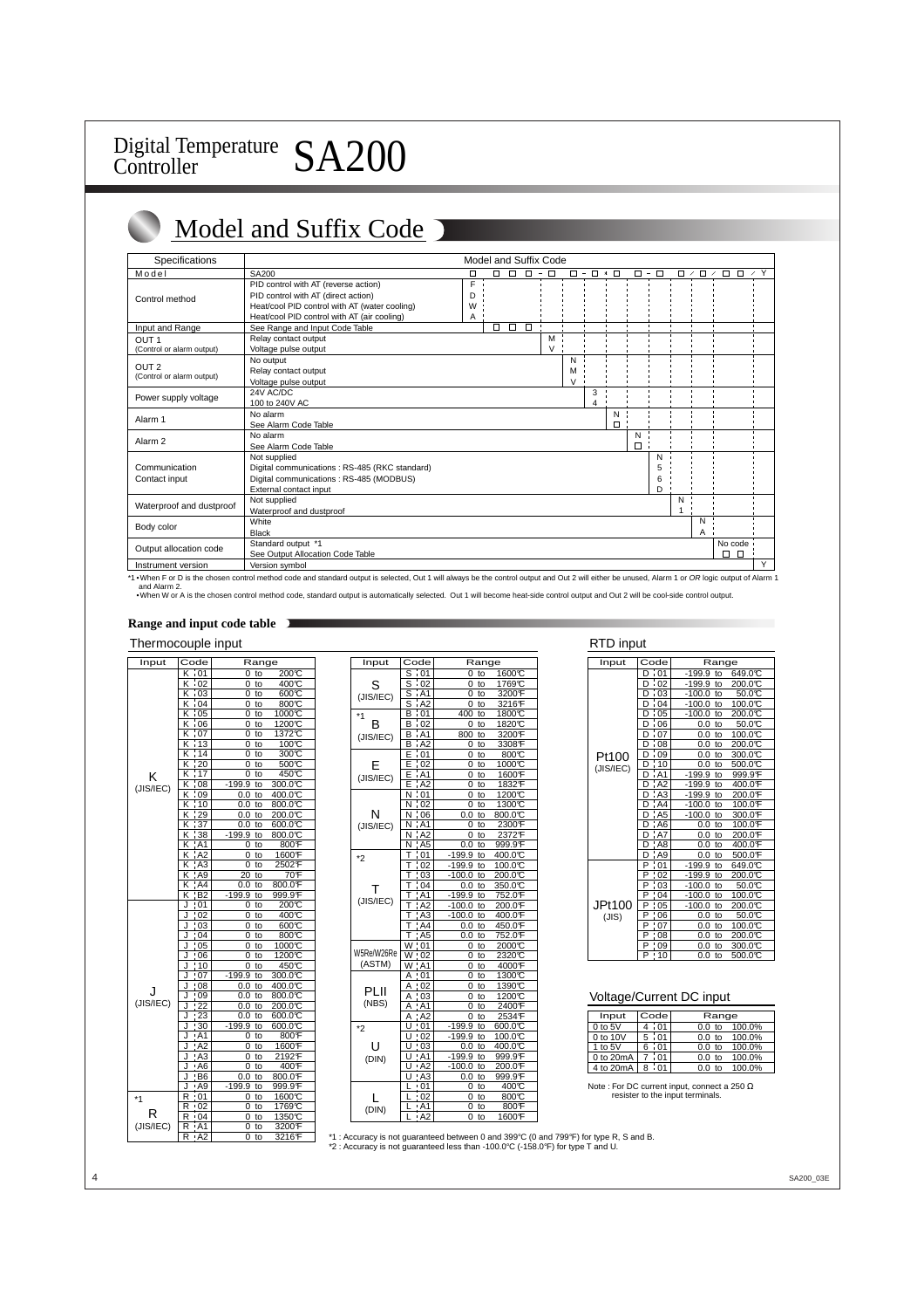# Model and Suffix Code

| <b>Specifications</b>     |                                               |        |             |        | Model and Suffix Code |        |                    |        |               |   |                                    |        |               |            |
|---------------------------|-----------------------------------------------|--------|-------------|--------|-----------------------|--------|--------------------|--------|---------------|---|------------------------------------|--------|---------------|------------|
| Model                     | SA200                                         | $\Box$ | $\Box$<br>Π |        | $\Box - \Box$         | $\Box$ | $ \Box$ $*$ $\Box$ |        | $\Box - \Box$ |   | $\Box$<br>$\overline{\phantom{a}}$ | $\Box$ | $\Box$ $\Box$ | $\prime$ Y |
|                           | PID control with AT (reverse action)          | F      |             |        |                       |        |                    |        |               |   |                                    |        |               |            |
| Control method            | PID control with AT (direct action)           | D      |             |        |                       |        |                    |        |               |   |                                    |        |               |            |
|                           | Heat/cool PID control with AT (water cooling) | W      |             |        |                       |        |                    |        |               |   |                                    |        |               |            |
|                           | Heat/cool PID control with AT (air cooling)   | Α      |             |        |                       |        |                    |        |               |   |                                    |        |               |            |
| Input and Range           | See Range and Input Code Table                |        | $\Box$<br>□ | $\Box$ |                       |        |                    |        |               |   |                                    |        |               |            |
| OUT <sub>1</sub>          | Relay contact output                          |        |             |        | M                     |        |                    |        |               |   |                                    |        |               |            |
| (Control or alarm output) | Voltage pulse output                          |        |             |        | $\vee$                |        |                    |        |               |   |                                    |        |               |            |
|                           | No output                                     |        |             |        |                       | N      |                    |        |               |   |                                    |        |               |            |
| OUT <sub>2</sub>          | Relay contact output                          |        |             |        |                       | М      |                    |        |               |   |                                    |        |               |            |
| (Control or alarm output) | Voltage pulse output                          |        |             |        |                       | $\vee$ |                    |        |               |   |                                    |        |               |            |
| Power supply voltage      | 24V AC/DC                                     |        |             |        |                       |        | 3                  |        |               |   |                                    |        |               |            |
|                           | 100 to 240V AC                                |        |             |        |                       |        | 4                  |        |               |   |                                    |        |               |            |
| Alarm 1                   | No alarm                                      |        |             |        |                       |        |                    | N      |               |   |                                    |        |               |            |
|                           | See Alarm Code Table                          |        |             |        |                       |        |                    | $\Box$ |               |   |                                    |        |               |            |
| Alarm <sub>2</sub>        | No alarm                                      |        |             |        |                       |        |                    |        | N             |   |                                    |        |               |            |
|                           | See Alarm Code Table                          |        |             |        |                       |        |                    |        | $\Box$        |   |                                    |        |               |            |
|                           | Not supplied                                  |        |             |        |                       |        |                    |        |               | N |                                    |        |               |            |
| Communication             | Digital communications: RS-485 (RKC standard) |        |             |        |                       |        |                    |        |               | 5 |                                    |        |               |            |
| Contact input             | Digital communications : RS-485 (MODBUS)      |        |             |        |                       |        |                    |        |               | 6 |                                    |        |               |            |
|                           | External contact input                        |        |             |        |                       |        |                    |        |               | D |                                    |        |               |            |
| Waterproof and dustproof  | Not supplied                                  |        |             |        |                       |        |                    |        |               |   | N                                  |        |               |            |
|                           | Waterproof and dustproof                      |        |             |        |                       |        |                    |        |               |   |                                    |        |               |            |
| Body color                | White                                         |        |             |        |                       |        |                    |        |               |   |                                    | N      |               |            |
|                           | <b>Black</b>                                  |        |             |        |                       |        |                    |        |               |   |                                    | A      |               |            |
| Output allocation code    | Standard output *1                            |        |             |        |                       |        |                    |        |               |   |                                    |        | No code       |            |
|                           | See Output Allocation Code Table              |        |             |        |                       |        |                    |        |               |   |                                    |        | $\Box$<br>Ω.  |            |
| Instrument version        | Version symbol                                |        |             |        |                       |        |                    |        |               |   |                                    |        |               | Υ          |

\*1 . When F or D is the chosen control method code and standard output is selected, Out 1 will always be the control output and Out 2 will either be unused, Alarm 1 or OR logic output of Alarm 1 and Alarm 2.<br>∙When W or A is the chosen control method code, standard output is automatically selected. Out 1 will become heat-side control output and Out 2 will be cool-side control output.

### **Range and input code table**

### Thermocouple input **RTD** input

| Input     | Code                 | Range                        |
|-----------|----------------------|------------------------------|
|           | κ                    |                              |
|           | i 01<br>κ            | 200℃<br>0<br>to              |
|           | i 02                 | $400\overline{C}$<br>0<br>to |
|           | $\frac{1}{1}03$<br>ĸ | 000C<br>0<br>to              |
|           | ¦ 04<br>κ            | 0<br>to<br>800C              |
|           | $\sqrt{05}$<br>κ     | 1000℃<br>0<br>to             |
|           | 06<br>Κ              | 1200℃<br>to<br>0             |
|           | $\frac{1}{1}07$<br>Κ | 1372℃<br>0<br>to             |
|           | Κ<br>13              | 100C<br>0<br>to              |
|           | $\frac{1}{14}$<br>Κ  | 0<br>300°C<br>to             |
|           | Κ<br>$\overline{20}$ | to<br>500℃<br>0              |
| κ         | 17<br>Κ              | 0<br>450°C<br>to             |
| (JIS/IEC) | Κ<br>¦ 08            | $-199.9$<br>300.0°C<br>to    |
|           | $\frac{1}{109}$<br>Κ | 400.0℃<br>0.0<br>to          |
|           | Κ<br>$\overline{10}$ | 0.0<br>800.0℃<br>to          |
|           | 29<br>Κ              | 0.0<br>200.0℃<br>to          |
|           | $\overline{37}$<br>Κ | 0.0<br>00.00<br>to           |
|           | 38<br>Κ              | $-199.9$<br>800.0°C<br>to    |
|           | AA1<br>Κ             | 0<br>to<br>800F              |
|           | A2<br>Κ              | 1600F<br>0<br>to             |
|           | A3<br>Κ              | 2502F<br>0<br>to             |
|           | A9<br>Κ              | $\overline{20}$<br>70F<br>to |
|           | $\overline{AA}$<br>Κ | 800.0F<br>0.0<br>to          |
|           | B2<br>Κ              | -199.9<br>999.9F<br>to       |
|           | 01<br>J              | 200°C<br>to<br>0             |
|           | 02                   | 0<br>400℃<br>to              |
|           | J<br>$\overline{03}$ | 600C<br>0                    |
|           | J                    | to                           |
|           | .04<br>J             | 800℃<br>0<br>to              |
|           | 05<br>J              | 1000℃<br>to<br>0             |
|           | 06<br>J              | 1200℃<br>0<br>to             |
|           | 10<br>J              | 450°C<br>0<br>to             |
|           | J<br>07              | 300.0°C<br>$-199.9$<br>to    |
| J.        | .08<br>J             | 0.0<br>400.0°C<br>to         |
| (JIS/IEC) | : 09<br>J            | 0.0<br>00.00<br>to           |
|           | 22<br>J              | 200.0℃<br>0.0<br>to          |
|           | .23<br>J             | 600.0℃<br>0.0<br>to          |
|           | $\frac{1}{2}$<br>J   | $-199.9$<br>00.00<br>to      |
|           | : A1<br>J            | 800F<br>0<br>to              |
|           | A2<br>J              | 0<br>1600F<br>to             |
|           | AA3<br>J             | 2192F<br>0<br>to             |
|           | : A6<br>J            | 400°F<br>0<br>to             |
|           | : B6                 | 0.0<br>800.0F<br>to          |
|           | A9<br>J              | $-199.9$<br>999.9F<br>to     |
| *1        | R<br>.01             | 1600℃<br>0<br>to             |
|           | .02<br>R             | 0<br>1769°C<br>to            |
| R         | R<br>.04             | 1350℃<br>0<br>to             |
| (JIS/IEC) | ' A1<br>R            | 3200F<br>0<br>to             |
|           | R<br>A2              | 3216F<br>0<br>to             |
|           |                      |                              |

| Input      | Code                  | Range          |               |  |  |
|------------|-----------------------|----------------|---------------|--|--|
|            | $\overline{01}$<br>S  | 0<br>to        | 1600℃         |  |  |
| S          | S<br>$\cdot$ 02       | 0<br>to        | 1769℃         |  |  |
| (JIS/IEC)  | S<br>A1               | 0<br>to        | 3200F         |  |  |
|            | S<br>AA2              | 0<br>to        | 3216°F        |  |  |
| $*1$       | В<br>i 01             | 400<br>to      | 1800℃         |  |  |
| в          | в<br>i 02             | 0<br>to        | 1820℃         |  |  |
| (JIS/IEC)  | : A1<br>в             | 800<br>to      | 3200F         |  |  |
|            | ¦ A2<br>В             | to<br>0        | 3308F         |  |  |
|            | $\frac{1}{1}$ 01<br>E | 0<br>to        | 800°C         |  |  |
| ⊨          | 02<br>E               | 0<br>to        | 1000℃         |  |  |
| (JIS/IEC)  | E<br><b>A1</b>        | 0<br>to        | 1600°F        |  |  |
|            | A2<br>E               | 0<br>to        | 1832°F        |  |  |
|            | Ν<br>: 01             | 0<br>to        | 1200℃         |  |  |
|            | 02<br>N               | 0<br>to        | 1300℃         |  |  |
| N          | .06<br>Ν              | 0.0<br>to      | 800.0℃        |  |  |
| (JIS/IEC)  | N<br>A1               | to<br>0        | 2300°F        |  |  |
|            | AA2<br>N              | 0<br>to        | 2372°F        |  |  |
|            | N<br>A5               | 0.0<br>to      | 999.9F        |  |  |
| *2         | 01                    | $-199.9$<br>to | 400.0℃        |  |  |
|            | 02<br>Т               | $-199.9$<br>to | 100.0℃        |  |  |
|            | T<br>03               | -100.0<br>to   | 00.0℃         |  |  |
|            | 04<br>T               | 0.0<br>to      | 350.0°C       |  |  |
|            | A1                    | -199.9<br>to   | 752.0F        |  |  |
| (JIS/IEC)  | A2<br>Т               | $-100.0$<br>to | 200.0°F       |  |  |
|            | A <sub>3</sub><br>T   | $-100.0$<br>to | 400.0F        |  |  |
|            | T<br>A4               | 0.0<br>to      | 450.0°F       |  |  |
|            | A <sub>5</sub><br>Т   | 0.0<br>to      | 752.0F        |  |  |
|            | W<br>01               | 0<br>to        | 2000℃         |  |  |
| W5Re/W26Re | 02<br>W               | 0<br>to        | 2320℃         |  |  |
| (ASTM)     | W<br>A1               | 0<br>to        | 4000°F        |  |  |
|            | А<br>01               | 0<br>to        | 1300℃         |  |  |
| PLII       | А<br>02               | 0<br>to        | 1390℃         |  |  |
|            | А<br>03               | 0<br>to        | 1200℃         |  |  |
| (NBS)      | А<br>: A1             | 0<br>to        | 2400°F        |  |  |
|            | А<br>A2               | 0<br>to        | 2534F         |  |  |
| *2         | U<br>01               | $-199.9$<br>to | $600.0^\circ$ |  |  |
|            | U<br>02               | $-199.9$<br>to | 100.0℃        |  |  |
| U          | 03<br>U               | 0.0<br>to      | 400.0℃        |  |  |
| (DIN)      | A1                    | $-199.9$<br>to | 999.9°F       |  |  |
|            | U<br>A2               | $-100.0$<br>to | 200.0°F       |  |  |
|            | A3                    | to<br>0.0      | 999.9F        |  |  |
|            | 01<br>ı               | 0<br>to        | 400℃          |  |  |
|            | 02<br>ı               | 0<br>to        | 800°C         |  |  |
| (DIN)      | A1                    | 0<br>to        | 800°F         |  |  |
|            | I<br>A <sub>2</sub>   | 0<br>to        | 1600F         |  |  |
|            |                       |                |               |  |  |

| Input     | Code                 | Range                    |  |  |  |  |
|-----------|----------------------|--------------------------|--|--|--|--|
|           | 01<br>f.             | 649.0℃<br>-199.9<br>to   |  |  |  |  |
|           | 02<br>D<br>í.        | 200.0℃<br>-199.9<br>to   |  |  |  |  |
|           | - 03<br>D            | 50.0℃<br>-100.0<br>to    |  |  |  |  |
|           | 04<br>D              | 100.0℃<br>$-100.0$<br>to |  |  |  |  |
|           | 05<br>D<br>ì.        | 200.0℃<br>-100.0<br>to   |  |  |  |  |
|           | $\overline{06}$<br>D | 50.0℃<br>0.0<br>to       |  |  |  |  |
|           | $\overline{07}$      | 100.0℃<br>0.0<br>to      |  |  |  |  |
|           | $\overline{08}$<br>n | 200.0℃<br>0.0<br>to      |  |  |  |  |
| Pt100     | 09<br>î.             | 300.0°C<br>0.0<br>to     |  |  |  |  |
| (JIS/IEC) | Ţ<br>10<br>D         | 0.0<br>500.0℃<br>to      |  |  |  |  |
|           | . A1<br>D            | -199.9<br>to<br>999.9F   |  |  |  |  |
|           | A2<br>D              | $-199.9$<br>400.0F<br>to |  |  |  |  |
|           | A3                   | $-199.9$<br>200.0F<br>to |  |  |  |  |
|           | A4                   | 100.0F<br>$-100.0$<br>to |  |  |  |  |
|           | 7A5                  | $-100.0$<br>300.0F<br>to |  |  |  |  |
|           | A6                   | 100.0F<br>0.0<br>to      |  |  |  |  |
|           | A7                   | 200.0F<br>0.0<br>to      |  |  |  |  |
|           | A8<br>n              | 400.0F<br>0.0<br>to      |  |  |  |  |
|           | 7A9<br>D             | 500.0F<br>0.0<br>to      |  |  |  |  |
|           | 01<br>P              | $-199.9$<br>649.0℃<br>to |  |  |  |  |
|           | $\frac{1}{102}$<br>P | $-199.9$<br>200.0℃<br>to |  |  |  |  |
|           | P<br>03              | 50.0℃<br>$-100.0$<br>to  |  |  |  |  |
|           | ŧ<br>P<br>04         | $-100.0$<br>100.0℃<br>to |  |  |  |  |
| JPt100    | Ţ<br>P<br>05         | -100.0<br>200.0℃<br>to   |  |  |  |  |
| (JIS)     | P<br>06              | 50.0℃<br>0.0<br>to       |  |  |  |  |
|           | P<br>07              | 100.0℃<br>0.0<br>to      |  |  |  |  |
|           | 08<br>P              | 200.0℃<br>0.0<br>to      |  |  |  |  |
|           | P<br>09              | 300.0°C<br>0.0<br>to     |  |  |  |  |
|           | P<br>10              | 500.0℃<br>0.0<br>to      |  |  |  |  |

### Voltage/Current DC input

| Input         | Code      | Range                       |
|---------------|-----------|-----------------------------|
| $0$ to $5V$   | .01       | 100.0%<br>0.0 <sub>to</sub> |
| 0 to 10V      | i 01<br>5 | 100.0%<br>0.0 <sub>to</sub> |
| 1 to $5V$     |           | 100.0%<br>0.0 <sub>to</sub> |
| $0$ to $20mA$ |           | 100.0%<br>0.0 <sub>to</sub> |
| 4 to 20mA     |           | 100.0%<br>to                |

Note : For DC current input, connect a 250  $\Omega$ resister to the input terminals.

\*1 : Accuracy is not guaranteed between 0 and 399°C (0 and 799°F) for type R, S and B. \*2 : Accuracy is not guaranteed less than -100.0°C (-158.0°F) for type T and U.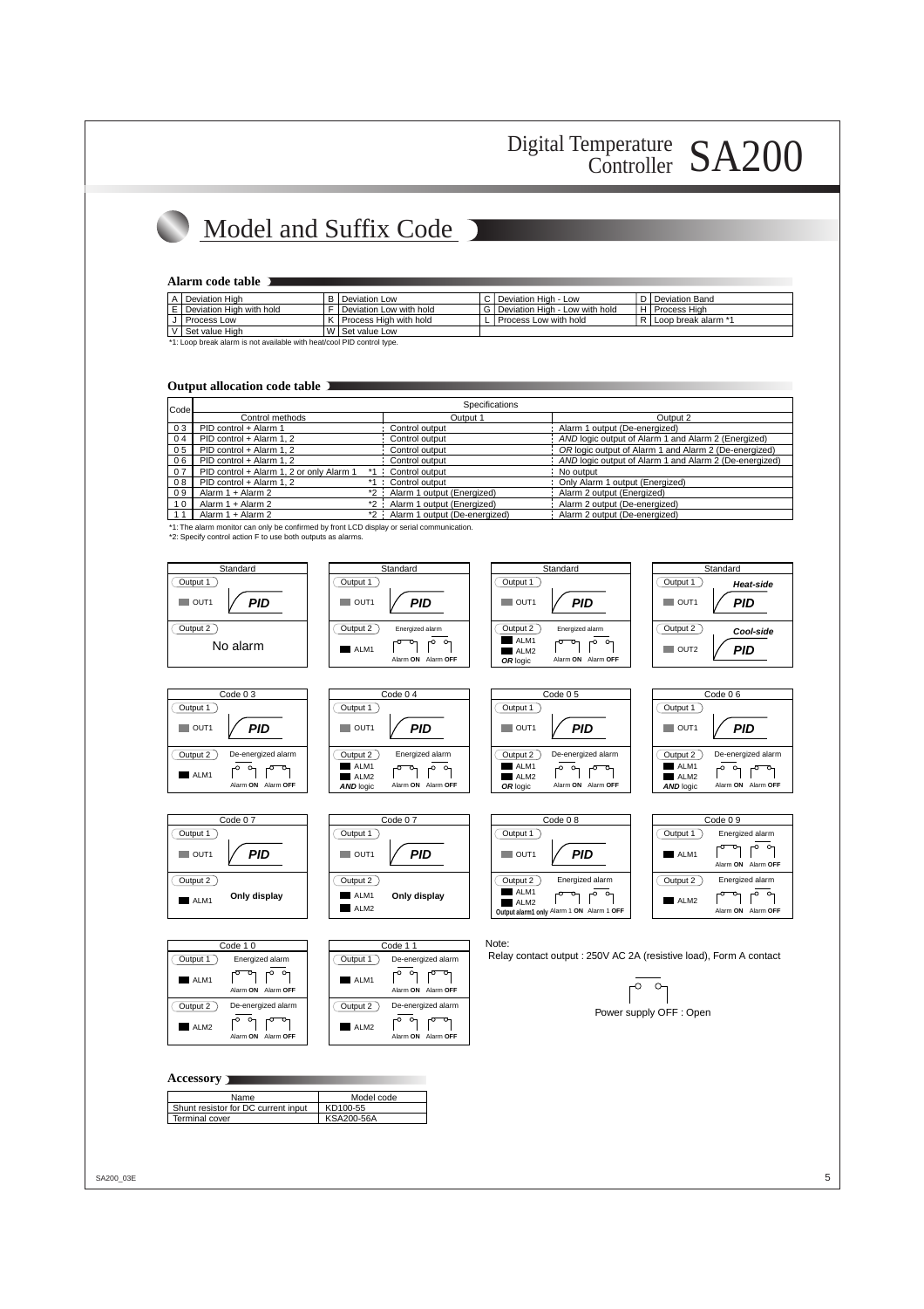# Model and Suffix Code

### **Alarm code table**

| A   Deviation High                                                                                                                                                                                                             |  | B   Deviation Low           |  | C   Deviation High - Low           |  | D I Deviation Band      |  |
|--------------------------------------------------------------------------------------------------------------------------------------------------------------------------------------------------------------------------------|--|-----------------------------|--|------------------------------------|--|-------------------------|--|
| $E$ Deviation High with hold                                                                                                                                                                                                   |  | F   Deviation Low with hold |  | G   Deviation High - Low with hold |  | H   Process Hiah        |  |
| Process Low                                                                                                                                                                                                                    |  | K   Process High with hold  |  | I Process Low with hold            |  | R I Loop break alarm *1 |  |
| V Set value High                                                                                                                                                                                                               |  | W I Set value Low           |  |                                    |  |                         |  |
| that is a continuate of a continued as a set of the contract of the contract of the contract of the contract of the contract of the contract of the contract of the contract of the contract of the contract of the contract o |  |                             |  |                                    |  |                         |  |

\*1: Loop break alarm is not available with heat/cool PID control type.

#### **Output allocation code table**

| Codel          |                                          | Specifications                     |                                                        |  |  |
|----------------|------------------------------------------|------------------------------------|--------------------------------------------------------|--|--|
|                | Control methods                          | Output 1                           | Output 2                                               |  |  |
| 03             | PID control + Alarm 1                    | Control output                     | Alarm 1 output (De-energized)                          |  |  |
| 04             | PID control + Alarm 1, 2                 | Control output                     | AND logic output of Alarm 1 and Alarm 2 (Energized)    |  |  |
| 0 <sub>5</sub> | PID control + Alarm 1.2                  | Control output                     | OR logic output of Alarm 1 and Alarm 2 (De-energized)  |  |  |
| 06             | PID control + Alarm 1.2                  | Control output                     | AND logic output of Alarm 1 and Alarm 2 (De-energized) |  |  |
| 07             | PID control + Alarm 1, 2 or only Alarm 1 | Control output                     | No output                                              |  |  |
| 08             | PID control + Alarm 1.2                  | *1 : Control output                | Only Alarm 1 output (Energized)                        |  |  |
| 09             | Alarm 1 + Alarm 2<br>$*2$ :              | Alarm 1 output (Energized)         | Alarm 2 output (Energized)                             |  |  |
| 10             | Alarm 1 + Alarm 2                        | *2 : Alarm 1 output (Energized)    | Alarm 2 output (De-energized)                          |  |  |
|                | Alarm 1 + Alarm 2                        | *2 : Alarm 1 output (De-energized) | Alarm 2 output (De-energized)                          |  |  |

\*1: The alarm monitor can only be confirmed by front LCD display or serial communication.

\*2: Specify control action F to use both outputs as alarms.



#### **Accessory**

| Name                                | Model code |
|-------------------------------------|------------|
| Shunt resistor for DC current input | KD100-55   |
| Terminal cover                      | KSA200-56A |